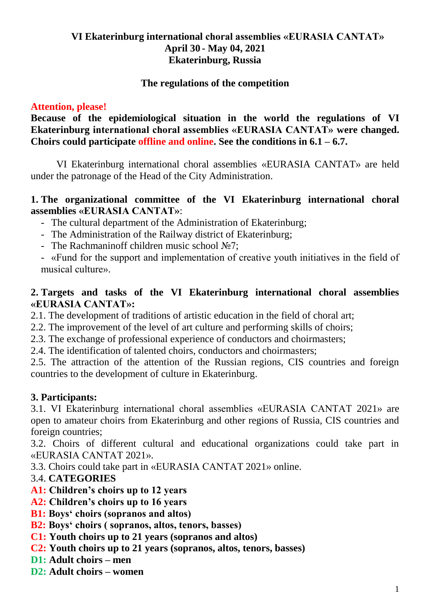## **VI Ekaterinburg international choral assemblies «EURASIA CANTAT» April 30 - May 04, 2021 Ekaterinburg, Russia**

#### **The regulations of the competition**

#### **Attention, please!**

**Because of the epidemiological situation in the world the regulations of VI Ekaterinburg international choral assemblies «EURASIA CANTAT» were changed. Choirs could participate offline and online. See the conditions in 6.1 – 6.7.**

VI Ekaterinburg international choral assemblies «EURASIA CANTAT» are held under the patronage of the Head of the City Administration.

#### **1. The organizational committee of the VI Ekaterinburg international choral assemblies «EURASIA CANTAT»**:

- The cultural department of the Administration of Ekaterinburg;
- The Administration of the Railway district of Ekaterinburg;
- The Rachmaninoff children music school №7;
- «Fund for the support and implementation of creative youth initiatives in the field of musical culture».

#### **2. Targets and tasks of the VI Ekaterinburg international choral assemblies «EURASIA CANTAT»:**

2.1. The development of traditions of artistic education in the field of choral art;

- 2.2. The improvement of the level of art culture and performing skills of choirs;
- 2.3. The exchange of professional experience of conductors and choirmasters;
- 2.4. The identification of talented choirs, conductors and choirmasters;

2.5. The attraction of the attention of the Russian regions, CIS countries and foreign countries to the development of culture in Ekaterinburg.

## **3. Participants:**

3.1. VI Ekaterinburg international choral assemblies «EURASIA CANTAT 2021» are open to amateur choirs from Ekaterinburg and other regions of Russia, CIS countries and foreign countries;

3.2. Choirs of different cultural and educational organizations could take part in «EURASIA CANTAT 2021».

3.3. Choirs could take part in «EURASIA CANTAT 2021» online.

## 3.4. **CATEGORIES**

- **A1: Children's choirs up to 12 years**
- **A2: Children's choirs up to 16 years**
- **B1: Boys' choirs (sopranos and altos)**
- **B2: Boys' choirs ( sopranos, altos, tenors, basses)**
- **C1: Youth choirs up to 21 years (sopranos and altos)**
- **C2: Youth choirs up to 21 years (sopranos, altos, tenors, basses)**
- **D1: Adult choirs – men**
- **D2: Adult choirs – women**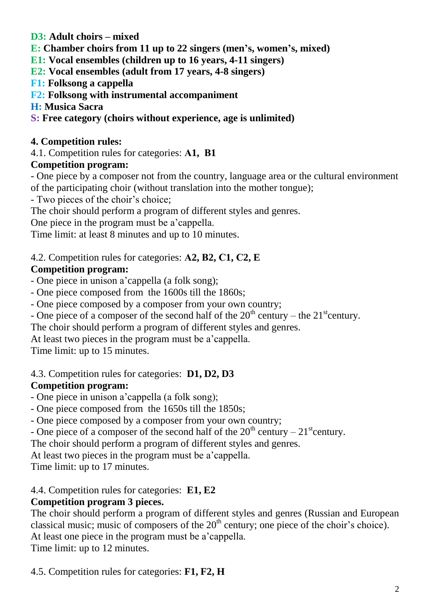## **D3: Adult choirs – mixed**

**E: Chamber choirs from 11 up to 22 singers (men's, women's, mixed)**

**E1: Vocal ensembles (children up to 16 years, 4-11 singers)**

**E2: Vocal ensembles (adult from 17 years, 4-8 singers)**

**F1: Folksong a cappella**

**F2: Folksong with instrumental accompaniment**

**H: Musica Sacra**

**S: Free category (choirs without experience, age is unlimited)**

# **4. Competition rules:**

4.1. Competition rules for categories: **А1, В1**

# **Competition program:**

- One piece by a composer not from the country, language area or the cultural environment of the participating choir (without translation into the mother tongue);

- Two pieces of the choir's choice;

The choir should perform a program of different styles and genres.

One piece in the program must be a'cappella.

Time limit: at least 8 minutes and up to 10 minutes.

# 4.2. Competition rules for categories: **А2, В2, С1, С2, E**

# **Competition program:**

- One piece in unison a'cappella (a folk song);

- One piece composed from the 1600s till the 1860s;

- One piece composed by a composer from your own country;

- One piece of a composer of the second half of the  $20<sup>th</sup>$  century – the  $21<sup>st</sup>$ century.

The choir should perform a program of different styles and genres.

At least two pieces in the program must be a'cappella.

Time limit: up to 15 minutes.

# 4.3. Competition rules for categories: **D1, D2, D3**

# **Competition program:**

- One piece in unison a'cappella (a folk song);

- One piece composed from the 1650s till the 1850s;

- One piece composed by a composer from your own country;

- One piece of a composer of the second half of the  $20<sup>th</sup>$  century –  $21<sup>st</sup>$ century.

The choir should perform a program of different styles and genres.

At least two pieces in the program must be a'cappella.

Time limit: up to 17 minutes.

# 4.4. Competition rules for categories: **E1, E2**

# **Competition program 3 pieces.**

The choir should perform a program of different styles and genres (Russian and European classical music; music of composers of the  $20<sup>th</sup>$  century; one piece of the choir's choice). At least one piece in the program must be a'cappella. Time limit: up to 12 minutes.

4.5. Competition rules for categories: **F1, F2, H**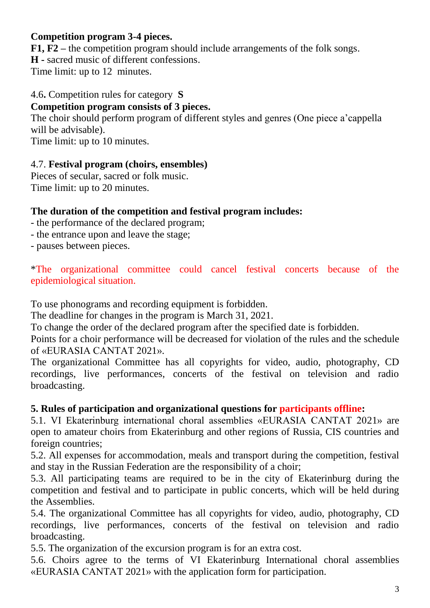# **Competition program 3-4 pieces.**

**F1, F2 –** the competition program should include arrangements of the folk songs.

**H -** sacred music of different confessions.

Time limit: up to 12 minutes.

## 4.6**.** Competition rules for category **S**

## **Competition program consists of 3 pieces.**

The choir should perform program of different styles and genres (One piece a'cappella will be advisable).

Time limit: up to 10 minutes.

## 4.7. **Festival program (choirs, ensembles)**

Pieces of secular, sacred or folk music. Time limit: up to 20 minutes.

# **The duration of the competition and festival program includes:**

- the performance of the declared program;
- the entrance upon and leave the stage;
- pauses between pieces.

\*The organizational committee could cancel festival concerts because of the epidemiological situation.

To use phonograms and recording equipment is forbidden.

The deadline for changes in the program is March 31, 2021.

To change the order of the declared program after the specified date is forbidden.

Points for a choir performance will be decreased for violation of the rules and the schedule of «EURASIA CANTAT 2021».

The organizational Committee has all copyrights for video, audio, photography, CD recordings, live performances, concerts of the festival on television and radio broadcasting.

## **5. Rules of participation and organizational questions for participants offline:**

5.1. VI Ekaterinburg international choral assemblies «EURASIA CANTAT 2021» are open to amateur choirs from Ekaterinburg and other regions of Russia, CIS countries and foreign countries;

5.2. All expenses for accommodation, meals and transport during the competition, festival and stay in the Russian Federation are the responsibility of a choir;

5.3. All participating teams are required to be in the city of Ekaterinburg during the competition and festival and to participate in public concerts, which will be held during the Assemblies.

5.4. The organizational Committee has all copyrights for video, audio, photography, CD recordings, live performances, concerts of the festival on television and radio broadcasting.

5.5. The organization of the excursion program is for an extra cost.

5.6. Choirs agree to the terms of VI Ekaterinburg International choral assemblies «EURASIA CANTAT 2021» with the application form for participation.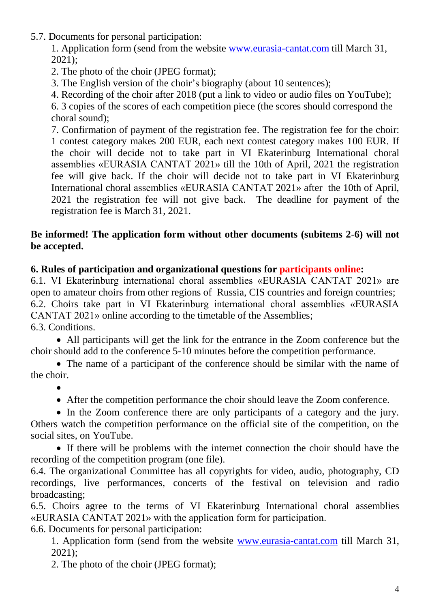- 5.7. Documents for personal participation:
	- 1. Application form (send from the website [www.eurasia-cantat.com](http://www.eurasia-cantat.com/) till March 31, 2021);
	- 2. The photo of the choir (JPEG format);
	- 3. The English version of the choir's biography (about 10 sentences);

4. Recording of the choir after 2018 (put a link to video or audio files on YouTube);

6. 3 copies of the scores of each competition piece (the scores should correspond the choral sound);

7. Confirmation of payment of the registration fee. The registration fee for the choir: 1 contest category makes 200 EUR, each next contest category makes 100 EUR. If the choir will decide not to take part in VI Ekaterinburg International choral assemblies «EURASIA CANTAT 2021» till the 10th of April, 2021 the registration fee will give back. If the choir will decide not to take part in VI Ekaterinburg International choral assemblies «EURASIA CANTAT 2021» after the 10th of April, 2021 the registration fee will not give back. The deadline for payment of the registration fee is March 31, 2021.

#### **Be informed! The application form without other documents (subitems 2-6) will not be accepted.**

#### **6. Rules of participation and organizational questions for participants online:**

6.1. VI Ekaterinburg international choral assemblies «EURASIA CANTAT 2021» are open to amateur choirs from other regions of Russia, CIS countries and foreign countries; 6.2. Choirs take part in VI Ekaterinburg international choral assemblies «EURASIA CANTAT 2021» online according to the timetable of the Assemblies; 6.3. Conditions.

 All participants will get the link for the entrance in the Zoom conference but the choir should add to the conference 5-10 minutes before the competition performance.

 The name of a participant of the conference should be similar with the name of the choir.

 $\bullet$ 

After the competition performance the choir should leave the Zoom conference.

• In the Zoom conference there are only participants of a category and the jury. Others watch the competition performance on the official site of the competition, on the social sites, on YouTube.

 If there will be problems with the internet connection the choir should have the recording of the competition program (one file).

6.4. The organizational Committee has all copyrights for video, audio, photography, CD recordings, live performances, concerts of the festival on television and radio broadcasting;

6.5. Choirs agree to the terms of VI Ekaterinburg International choral assemblies «EURASIA CANTAT 2021» with the application form for participation.

6.6. Documents for personal participation:

1. Application form (send from the website [www.eurasia-cantat.com](http://www.eurasia-cantat.com/) till March 31, 2021);

2. The photo of the choir (JPEG format);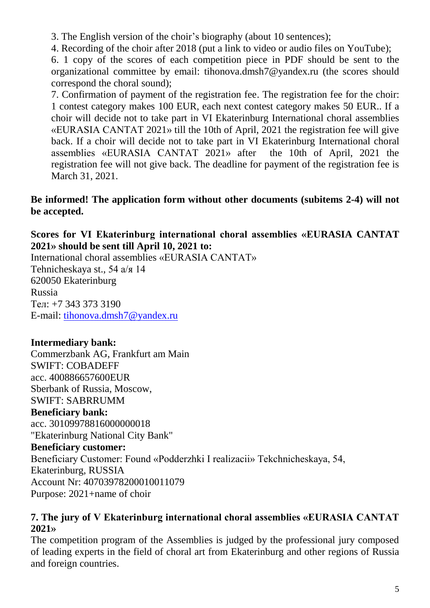3. The English version of the choir's biography (about 10 sentences);

4. Recording of the choir after 2018 (put a link to video or audio files on YouTube);

6. 1 copy of the scores of each competition piece in PDF should be sent to the organizational committee by email: tihonova.dmsh7@yandex.ru (the scores should correspond the choral sound);

7. Confirmation of payment of the registration fee. The registration fee for the choir: 1 contest category makes 100 EUR, each next contest category makes 50 EUR.. If a choir will decide not to take part in VI Ekaterinburg International choral assemblies «EURASIA CANTAT 2021» till the 10th of April, 2021 the registration fee will give back. If a choir will decide not to take part in VI Ekaterinburg International choral assemblies «EURASIA CANTAT 2021» after the 10th of April, 2021 the registration fee will not give back. The deadline for payment of the registration fee is March 31, 2021.

#### **Be informed! The application form without other documents (subitems 2-4) will not be accepted.**

## **Scores for VI Ekaterinburg international choral assemblies «EURASIA CANTAT 2021» should be sent till April 10, 2021 to:**

International choral assemblies «EURASIA CANTAT» Tehnicheskaya st., 54 а/я 14 620050 Ekaterinburg Russia Тел: +7 343 373 3190 E-mail: [tihonova.dmsh7@yandex.ru](mailto:tihonova.dmsh7@yandex.ru)

# **Intermediary bank:**

Commerzbank AG, Frankfurt am Main SWIFT: COBADEFF acc. 400886657600EUR Sberbank of Russia, Moscow, SWIFT: SABRRUMM

#### **Beneficiary bank:**

acc. 30109978816000000018 "Ekaterinburg National City Bank"

## **Beneficiary customer:**

Beneficiary Customer: Found «Podderzhki I realizacii» Tekchnicheskaya, 54, Ekaterinburg, RUSSIA

Account Nr: 40703978200010011079

Purpose: 2021+name of choir

#### **7. The jury of V Ekaterinburg international choral assemblies «EURASIA CANTAT 2021»**

The competition program of the Assemblies is judged by the professional jury composed of leading experts in the field of choral art from Ekaterinburg and other regions of Russia and foreign countries.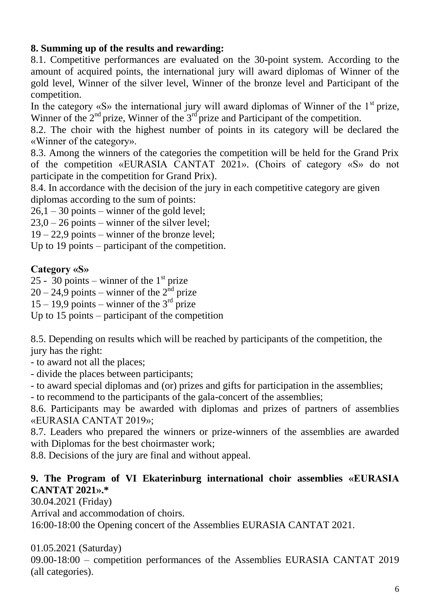# **8. Summing up of the results and rewarding:**

8.1. Competitive performances are evaluated on the 30-point system. According to the amount of acquired points, the international jury will award diplomas of Winner of the gold level, Winner of the silver level, Winner of the bronze level and Participant of the competition.

In the category  $\langle S \rangle$  the international jury will award diplomas of Winner of the 1<sup>st</sup> prize, Winner of the  $2<sup>nd</sup>$  prize, Winner of the  $3<sup>rd</sup>$  prize and Participant of the competition.

8.2. The choir with the highest number of points in its category will be declared the «Winner of the category».

8.3. Among the winners of the categories the competition will be held for the Grand Prix of the competition «EURASIA CANTAT 2021». (Choirs of category «S» do not participate in the competition for Grand Prix).

8.4. In accordance with the decision of the jury in each competitive category are given diplomas according to the sum of points:

 $26.1 - 30$  points – winner of the gold level;

 $23,0 - 26$  points – winner of the silver level;

19 – 22,9 points – winner of the bronze level;

Up to 19 points – participant of the competition.

## **Category «S»**

25 -  $30$  points – winner of the 1<sup>st</sup> prize

 $20 - 24.9$  points – winner of the  $2<sup>nd</sup>$  prize

 $15 - 19.9$  points – winner of the  $3<sup>rd</sup>$  prize

Up to 15 points – participant of the competition

8.5. Depending on results which will be reached by participants of the competition, the jury has the right:

- to award not all the places;

- divide the places between participants;

- to award special diplomas and (or) prizes and gifts for participation in the assemblies;

- to recommend to the participants of the gala-concert of the assemblies;

8.6. Participants may be awarded with diplomas and prizes of partners of assemblies «EURASIA CANTAT 2019»;

8.7. Leaders who prepared the winners or prize-winners of the assemblies are awarded with Diplomas for the best choirmaster work;

8.8. Decisions of the jury are final and without appeal.

## **9. The Program of VI Ekaterinburg international choir assemblies «EURASIA CANTAT 2021».\***

30.04.2021 (Friday)

Arrival and accommodation of choirs.

16:00-18:00 the Opening concert of the Assemblies EURASIA CANTAT 2021.

01.05.2021 (Saturday)

09.00-18:00 – competition performances of the Assemblies EURASIA CANTAT 2019 (all categories).